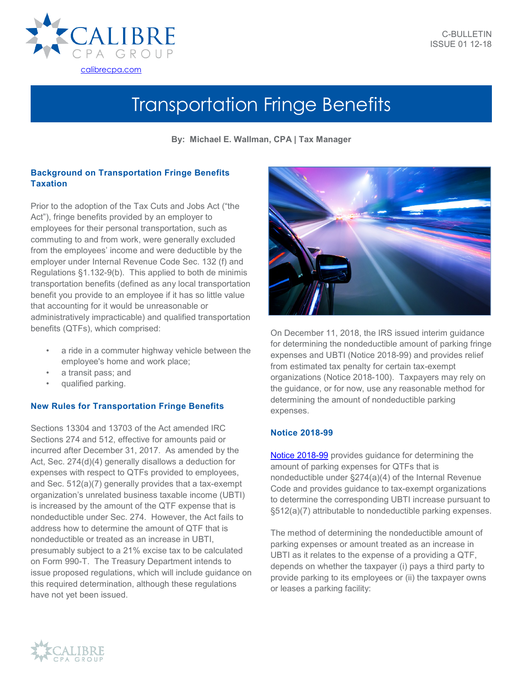

# Transportation Fringe Benefits

**By: Michael E. Wallman, CPA | Tax Manager**

# **Background on Transportation Fringe Benefits Taxation**

Prior to the adoption of the Tax Cuts and Jobs Act ("the Act"), fringe benefits provided by an employer to employees for their personal transportation, such as commuting to and from work, were generally excluded from the employees' income and were deductible by the employer under Internal Revenue Code Sec. 132 (f) and Regulations §1.132-9(b). This applied to both de minimis transportation benefits (defined as any local transportation benefit you provide to an employee if it has so little value that accounting for it would be unreasonable or administratively impracticable) and qualified transportation benefits (QTFs), which comprised:

- a ride in a commuter highway vehicle between the employee's home and work place;
- a transit pass; and
- qualified parking.

# **New Rules for Transportation Fringe Benefits**

Sections 13304 and 13703 of the Act amended IRC Sections 274 and 512, effective for amounts paid or incurred after December 31, 2017. As amended by the Act, Sec. 274(d)(4) generally disallows a deduction for expenses with respect to QTFs provided to employees, and Sec. 512(a)(7) generally provides that a tax-exempt organization's unrelated business taxable income (UBTI) is increased by the amount of the QTF expense that is nondeductible under Sec. 274. However, the Act fails to address how to determine the amount of QTF that is nondeductible or treated as an increase in UBTI, presumably subject to a 21% excise tax to be calculated on Form 990-T. The Treasury Department intends to issue proposed regulations, which will include guidance on this required determination, although these regulations have not yet been issued.



On December 11, 2018, the IRS issued interim guidance for determining the nondeductible amount of parking fringe expenses and UBTI (Notice 2018-99) and provides relief from estimated tax penalty for certain tax-exempt organizations (Notice 2018-100). Taxpayers may rely on the guidance, or for now, use any reasonable method for determining the amount of nondeductible parking expenses.

# **Notice 2018-99**

[Notice 2018-99](https://www.irs.gov/pub/irs-drop/n-18-99.pdf) provides guidance for determining the amount of parking expenses for QTFs that is nondeductible under §274(a)(4) of the Internal Revenue Code and provides guidance to tax-exempt organizations to determine the corresponding UBTI increase pursuant to §512(a)(7) attributable to nondeductible parking expenses.

The method of determining the nondeductible amount of parking expenses or amount treated as an increase in UBTI as it relates to the expense of a providing a QTF, depends on whether the taxpayer (i) pays a third party to provide parking to its employees or (ii) the taxpayer owns or leases a parking facility: